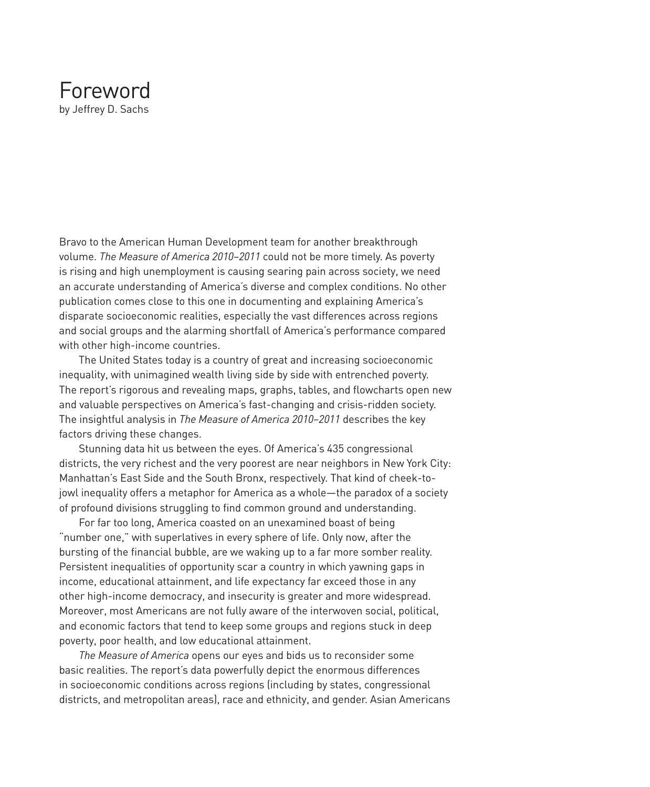## Foreword by Jeffrey D. Sachs

Bravo to the American Human Development team for another breakthrough volume. *The Measure of America 2010–2011* could not be more timely. As poverty is rising and high unemployment is causing searing pain across society, we need an accurate understanding of America's diverse and complex conditions. No other publication comes close to this one in documenting and explaining America's disparate socioeconomic realities, especially the vast differences across regions and social groups and the alarming shortfall of America's performance compared with other high-income countries.

The United States today is a country of great and increasing socioeconomic inequality, with unimagined wealth living side by side with entrenched poverty. The report's rigorous and revealing maps, graphs, tables, and flowcharts open new and valuable perspectives on America's fast-changing and crisis-ridden society. The insightful analysis in *The Measure of America 2010–2011* describes the key factors driving these changes.

Stunning data hit us between the eyes. Of America's 435 congressional districts, the very richest and the very poorest are near neighbors in New York City: Manhattan's East Side and the South Bronx, respectively. That kind of cheek-tojowl inequality offers a metaphor for America as a whole—the paradox of a society of profound divisions struggling to find common ground and understanding.

For far too long, America coasted on an unexamined boast of being "number one," with superlatives in every sphere of life. Only now, after the bursting of the financial bubble, are we waking up to a far more somber reality. Persistent inequalities of opportunity scar a country in which yawning gaps in income, educational attainment, and life expectancy far exceed those in any other high-income democracy, and insecurity is greater and more widespread. Moreover, most Americans are not fully aware of the interwoven social, political, and economic factors that tend to keep some groups and regions stuck in deep poverty, poor health, and low educational attainment.

*The Measure of America* opens our eyes and bids us to reconsider some basic realities. The report's data powerfully depict the enormous differences in socioeconomic conditions across regions (including by states, congressional districts, and metropolitan areas), race and ethnicity, and gender. Asian Americans